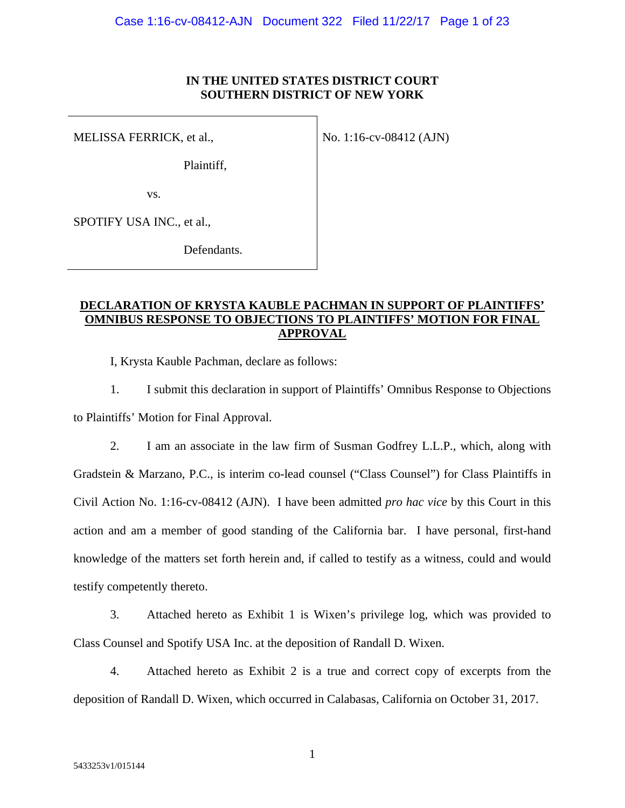### **IN THE UNITED STATES DISTRICT COURT SOUTHERN DISTRICT OF NEW YORK**

MELISSA FERRICK, et al.,

No. 1:16-cv-08412 (AJN)

Plaintiff,

vs.

SPOTIFY USA INC., et al.,

Defendants.

## **DECLARATION OF KRYSTA KAUBLE PACHMAN IN SUPPORT OF PLAINTIFFS' OMNIBUS RESPONSE TO OBJECTIONS TO PLAINTIFFS' MOTION FOR FINAL APPROVAL**

I, Krysta Kauble Pachman, declare as follows:

1. I submit this declaration in support of Plaintiffs' Omnibus Response to Objections to Plaintiffs' Motion for Final Approval.

2. I am an associate in the law firm of Susman Godfrey L.L.P., which, along with Gradstein & Marzano, P.C., is interim co-lead counsel ("Class Counsel") for Class Plaintiffs in Civil Action No. 1:16-cv-08412 (AJN). I have been admitted *pro hac vice* by this Court in this action and am a member of good standing of the California bar. I have personal, first-hand knowledge of the matters set forth herein and, if called to testify as a witness, could and would testify competently thereto.

3. Attached hereto as Exhibit 1 is Wixen's privilege log, which was provided to Class Counsel and Spotify USA Inc. at the deposition of Randall D. Wixen.

4. Attached hereto as Exhibit 2 is a true and correct copy of excerpts from the deposition of Randall D. Wixen, which occurred in Calabasas, California on October 31, 2017.

1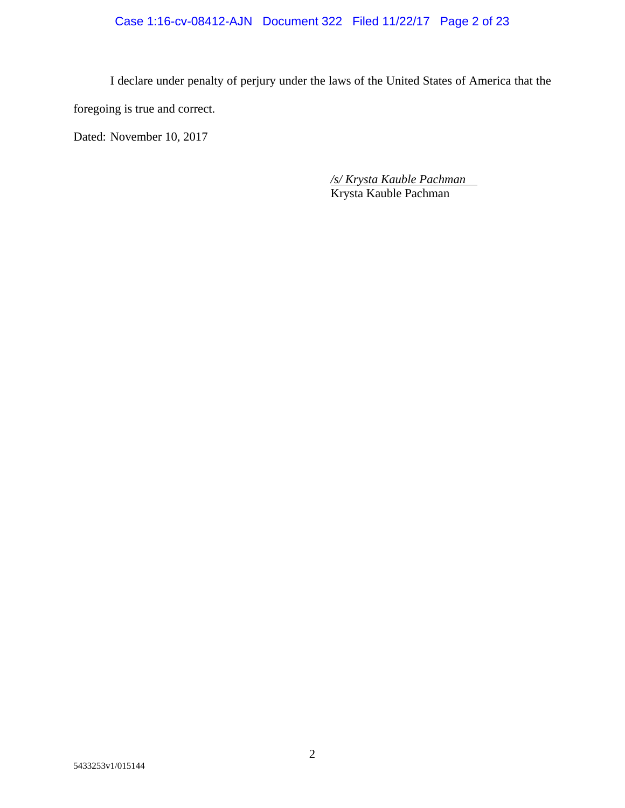I declare under penalty of perjury under the laws of the United States of America that the foregoing is true and correct.

Dated: November 10, 2017

*/s/ Krysta Kauble Pachman*  Krysta Kauble Pachman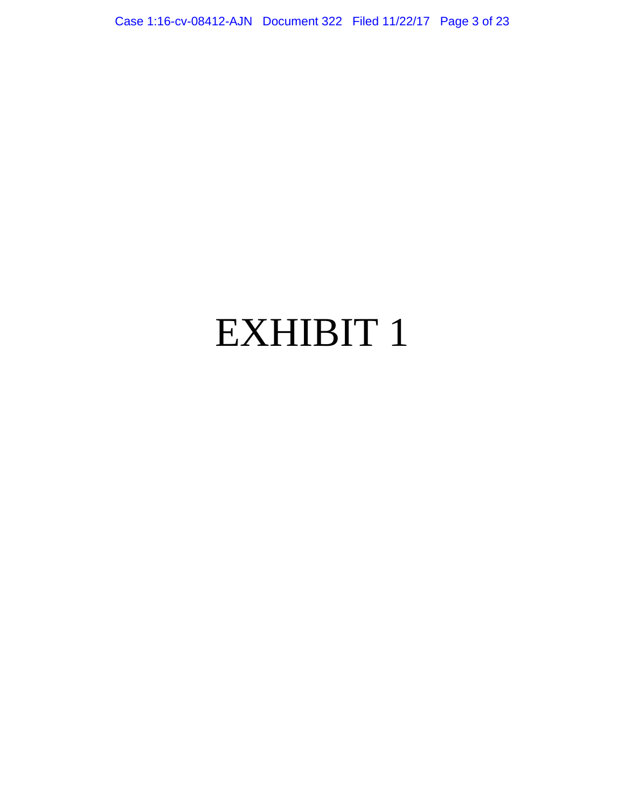Case 1:16-cv-08412-AJN Document 322 Filed 11/22/17 Page 3 of 23

# EXHIBIT 1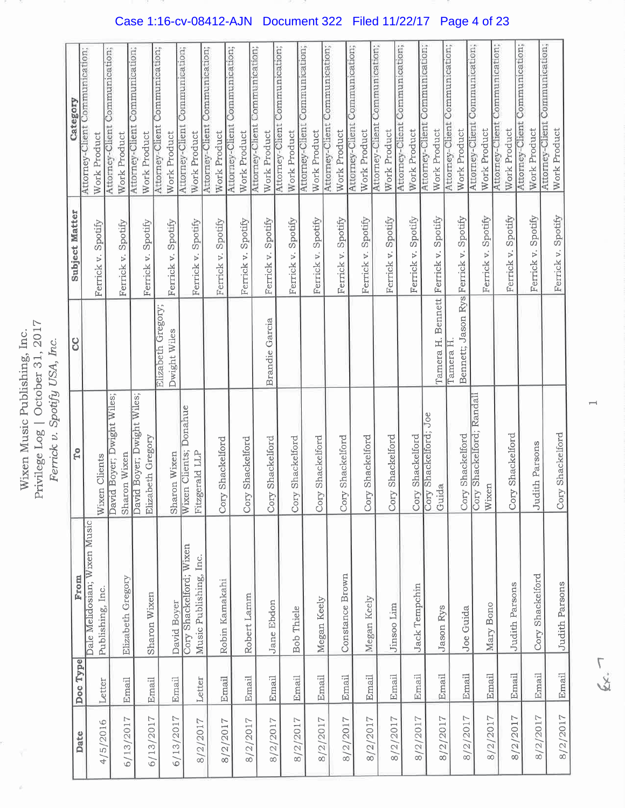Wixen Music Publishing, Inc.<br>Privilege Log | October 31, 2017<br>Ferrick v. Spotify USA, Inc.

|           |          | From                         | To                                            | 8                                     | <b>Subject Matter</b>         | Category                                       |
|-----------|----------|------------------------------|-----------------------------------------------|---------------------------------------|-------------------------------|------------------------------------------------|
| Date      | Doc Type | Dale Melidosian; Wixen Music |                                               |                                       |                               | Attorney-Client Communication;                 |
| 4/5/2016  | Letter   | Publishing, Inc.             | Clients<br>Wixen                              |                                       | Ferrick v. Spotify            | Work Product                                   |
| 6/13/2017 | Email    | Elizabeth Gregory            | Boyer; Dwight Wiles;<br>Sharon Wixen<br>David |                                       | Ferrick v. Spotify            | Attorney-Client Communication;<br>Work Product |
|           |          |                              | David Boyer; Dwight Wiles;                    |                                       |                               | Attorney-Client Communication;                 |
| 6/13/2017 | Email    | Sharon Wixen                 | Elizabeth Gregory                             |                                       | Spotify<br>Ferrick v.         | Work Product                                   |
|           |          |                              |                                               | Elizabeth Gregory;                    |                               | Attorney-Client Communication;                 |
| 6/13/2017 | Email    | David Boyer                  | Sharon Wixen                                  | Dwight Wiles                          | Ferrick v. Spotify            | Work Product                                   |
|           |          | Cory Shackelford; Wixen      | Donahue<br>Wixen Clients;                     |                                       | Ferrick v. Spotify            | Attorney-Client Communication;<br>Work Product |
| 8/2/2017  | Letter   | Music Publishing, Inc.       | Fitzgerald LLP                                |                                       |                               | Attorney-Client Communication;                 |
| 8/2/2017  | Email    | Robin Kamakahi               | Shackelford<br>Cory                           |                                       | Ferrick v. Spotify            | Work Product                                   |
|           |          |                              |                                               |                                       |                               | Attorney-Client Communication;                 |
| 8/2/2017  | Email    | Robert Lamm                  | Cory Shackelford                              |                                       | Ferrick v. Spotify            | Attorney-Client Communication;<br>Work Product |
| 8/2/2017  | Email    | Jane Ebdon                   | Cory Shackelford                              | <b>Brandie</b> Garcia                 | Ferrick v. Spotify            | Work Product                                   |
|           |          |                              |                                               |                                       |                               | Attorney-Client Communication;                 |
| 8/2/2017  | Email    | Bob Thiele                   | Shackelford<br>Cory                           |                                       | Ferrick v. Spotify            | Work Product                                   |
|           |          |                              |                                               |                                       |                               | Attorney-Client Communication;                 |
| 8/2/2017  | Email    | Megan Keely                  | Shackelford<br>Cory                           |                                       | Spotify<br>Ferrick v.         | Work Product                                   |
|           |          |                              |                                               |                                       |                               | Attorney-Client Communication;                 |
| 8/2/2017  | Email    | Constance Brown              | Shackelford<br>Cory                           |                                       | Spotify<br>Ferrick v.         | Work Product                                   |
|           |          |                              |                                               |                                       |                               | Attorney-Client Communication;                 |
| 8/2/2017  | Email    | Megan Keely                  | Shackelford<br>Cory                           |                                       | Ferrick v. Spotify            | Work Product                                   |
|           |          |                              |                                               |                                       |                               | Attorney-Client Communication;                 |
| 8/2/2017  | Email    | Jinsoo Lim                   | Shackelford<br>Cory                           |                                       | Spotify<br>Ferrick v.         | Work Product                                   |
|           |          |                              |                                               |                                       |                               | Attorney-Client Communication;                 |
| 8/2/2017  | Email    | Jack Tempchin                | Shackelford                                   |                                       | Spotify<br>Ferrick v.         | Work Product                                   |
|           |          |                              | Shackelford; Joe<br>Cory                      |                                       |                               | Attorney-Client Communication;                 |
| 8/2/2017  | Email    | Jason Rys                    | Guida                                         | Tamera H.                             | Spotify<br>Bennett Ferrick v. | Work Product                                   |
|           |          |                              |                                               | Tamera H                              |                               | Attorney-Client Communication;                 |
| 8/2/2017  | Email    | Joe Guida                    | Shackelford<br>Cory                           | Bennett; Jason Rys Ferrick v. Spotify |                               | Work Product                                   |
|           |          |                              | Shackelford; Randall<br>Cory                  |                                       |                               | Attorney-Client Communication;                 |
| 8/2/2017  | Email    | Mary Bono                    | Wixen                                         |                                       | Ferrick v. Spotify            | Work Product                                   |
|           |          |                              |                                               |                                       |                               | Attorney-Client Communication;                 |
| 8/2/2017  | Email    | <b>Judith Parsons</b>        | Shackelford<br>Cory                           |                                       | Spotify<br>Ferrick v.         | Work Product                                   |
|           |          |                              |                                               |                                       | Spotify<br>Ferrick v.         | Attorney-Client Communication;<br>Work Product |
| 8/2/2017  | Email    | Cory Shackelford             | Judith Parsons                                |                                       |                               | Attorney-Client Communication;                 |
| 8/2/2017  | Email    | Judith Parsons               | Shackelford<br>Cory                           |                                       | Ferrick v. Spotify            | Work Product                                   |

Case 1:16-cv-08412-AJN Document 322 Filed 11/22/17 Page 4 of 23

 $f_{xx}$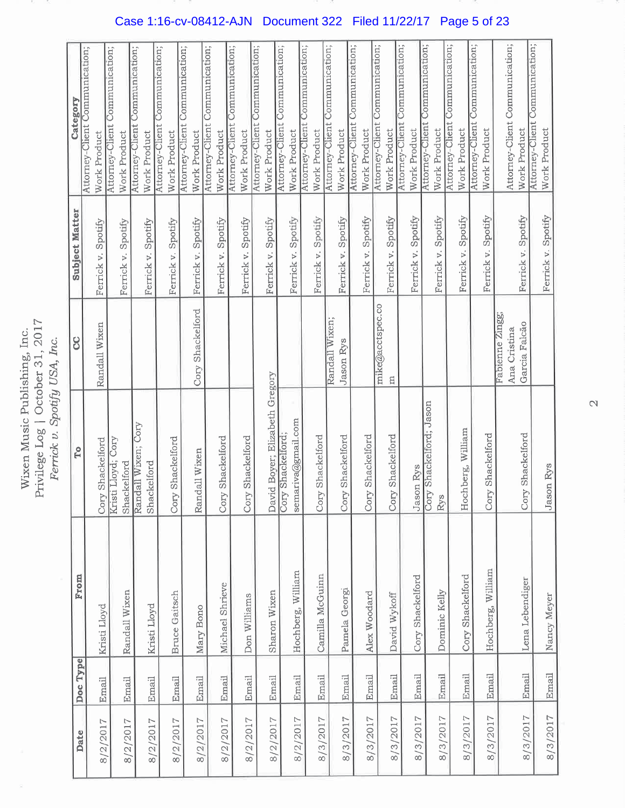Wixen Music Publishing, Inc.<br>Privilege Log | October 31, 2017<br>Ferrick v. Spotify USA, Inc.

| Date     | Doc Type | From                 | <b>To</b>                                           | 8                             | <b>Subject Matter</b> | Category                                       |
|----------|----------|----------------------|-----------------------------------------------------|-------------------------------|-----------------------|------------------------------------------------|
|          |          |                      |                                                     |                               |                       | Attorney-Client Communication;                 |
| 8/2/2017 | Email    | Kristi Lloyd         | Shackelford<br>Cory                                 | Randall Wixen                 | Ferrick v. Spotify    | Work Product                                   |
| 8/2/2017 | Email    | Randall Wixen        | Kristi Lloyd; Cory<br>Shackelford                   |                               | Ferrick v. Spotify    | Attorney-Client Communication;<br>Work Product |
|          |          |                      | Randall Wixen; Cory                                 |                               |                       | Attorney-Client Communication;                 |
| 8/2/2017 | Email    | Kristi Lloyd         | Shackelford                                         |                               | Ferrick v. Spotify    | Work Product                                   |
|          |          |                      |                                                     |                               |                       | Communication;<br>Attorney-Client              |
| 8/2/2017 | Email    | <b>Bruce Gaitsch</b> | Shackelford<br>Cory                                 |                               | Ferrick v. Spotify    | Work Product                                   |
|          | Email    | Mary Bono            | Randall Wixen                                       | Cory Shackelford              | Spotify<br>Ferrick v. | Attorney-Client Communication;<br>Work Product |
| 8/2/2017 |          |                      |                                                     |                               |                       | Attorney-Client Communication;                 |
| 8/2/2017 | Email    | Michael Shrieve      | Shackelford<br>Cory                                 |                               | Ferrick v. Spotify    | Work Product                                   |
|          |          |                      |                                                     |                               |                       | Communication;<br>Attorney-Client              |
| 8/2/2017 | Email    | Don Williams         | Shackelford<br>Cory                                 |                               | Spotify<br>Ferrick v. | Work Product                                   |
|          |          |                      |                                                     |                               |                       | Communication;<br>Attorney-Client              |
| 8/2/2017 | Email    | Sharon Wixen         |                                                     |                               | Spotify<br>Ferrick v. | Work Product                                   |
|          |          |                      | David Boyer; Elizabeth Gregory<br>Cory Shackelford; |                               |                       | Attorney-Client Communication;                 |
| 8/2/2017 | Email    | Hochberg, William    | semariva@gmail.com                                  |                               | Ferrick v. Spotify    | Work Product                                   |
|          |          |                      |                                                     |                               |                       | Attorney-Client Communication;                 |
| 8/3/2017 | Email    | Camilla McGuinn      | Shackelford<br>Cory                                 |                               | Ferrick v. Spotify    | Work Product                                   |
|          |          |                      |                                                     | Randall Wixen;                |                       | Attorney-Client Communication;                 |
| 8/3/2017 | Email    | Pamela Georgi        | Shackelford<br>Cory                                 | Jason Rys                     | Ferrick v. Spotify    | Work Product                                   |
|          |          |                      |                                                     |                               |                       | Attorney-Client Communication;                 |
| 8/3/2017 | Email    | Alex Woodard         | Shackelford<br>Cory                                 |                               | Ferrick v. Spotify    | Work Product                                   |
|          |          |                      |                                                     | mike@acctspec.co              |                       | Attorney-Client Communication;                 |
| 8/3/2017 | Email    | David Wykoff         | Shackelford<br>Cory                                 | E                             | Spotify<br>Ferrick v. | Work Product                                   |
|          |          |                      |                                                     |                               |                       | Attorney-Client Communication;                 |
| 8/3/2017 | Email    | Cory Shackelford     | Jason Rys                                           |                               | Ferrick v. Spotify    | Work Product                                   |
|          |          |                      | Shackelford; Jason<br>Cory                          |                               |                       | Communication;<br>Attorney-Client              |
| 8/3/2017 | Email    | Dominic Kelly        | Rys                                                 |                               | Spotify<br>Ferrick v. | Work Product                                   |
|          |          |                      |                                                     |                               |                       | Communication;<br>Attorney-Client              |
| 8/3/2017 | Email    | Cory Shackelford     | Hochberg, William                                   |                               | Ferrick v. Spotify    | Work Product                                   |
|          |          |                      |                                                     |                               |                       | Attorney-Client Communication;                 |
| 8/3/2017 | Email    | Hochberg, William    | Shackelford<br>Cory                                 |                               | Ferrick v. Spotify    | Work Product                                   |
|          |          |                      |                                                     | Fabienne Zingg;               |                       | Attorney-Client Communication;                 |
|          |          |                      |                                                     | Garcia Falcão<br>Ana Cristina | Ferrick v. Spotify    | Work Product                                   |
| 8/3/2017 | Email    | Lena Lebendiger      | Shackelford<br>Cory                                 |                               |                       | Attorney-Client Communication;                 |
| 8/3/2017 | Email    | Nancy Meyer          | Jason Rys                                           |                               | Ferrick v. Spotify    | Work Product                                   |

Case 1:16-cv-08412-AJN Document 322 Filed 11/22/17 Page 5 of 23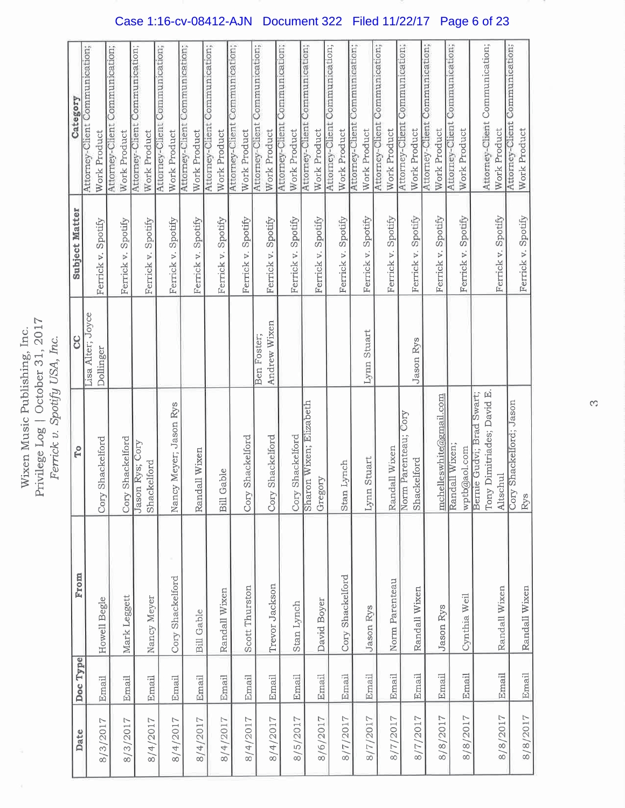Wixen Music Publishing, Inc.<br>Privilege Log | October 31, 2017 Ferrick v. Spotify USA, Inc.

| Date     | Doc Type | From              | Fo                                               | S                 | <b>Subject Matter</b> | Category                          |
|----------|----------|-------------------|--------------------------------------------------|-------------------|-----------------------|-----------------------------------|
|          |          |                   |                                                  | Lisa Alter; Joyce |                       | Attorney-Client Communication;    |
| 8/3/2017 | Email    | Howell Begle      | Cory Shackelford                                 | Dollinger         | Ferrick v. Spotify    | Work Product                      |
|          |          |                   |                                                  |                   |                       | Attorney-Client Communication;    |
| 8/3/2017 | Email    | Mark Leggett      | Cory Shackelford                                 |                   | Ferrick v. Spotify    | Work Product                      |
|          |          |                   | Jason Rys; Cory                                  |                   |                       | Attorney-Client Communication;    |
| 8/4/2017 | Email    | Nancy Meyer       | Shackelford                                      |                   | Ferrick v. Spotify    | Work Product                      |
|          |          |                   |                                                  |                   |                       | Attorney-Client Communication;    |
| 8/4/2017 | Email    | Cory Shackelford  | Nancy Meyer; Jason Rys                           |                   | Ferrick v. Spotify    | Work Product                      |
|          |          |                   |                                                  |                   |                       | Attorney-Client Communication;    |
| 8/4/2017 | Email    | <b>Bill Gable</b> | Randall Wixen                                    |                   | Ferrick v. Spotify    | Work Product                      |
|          |          |                   |                                                  |                   |                       | Attorney-Client Communication;    |
| 8/4/2017 | Email    | Randall Wixen     | <b>Bill Gable</b>                                |                   | Ferrick v. Spotify    | Work Product                      |
|          |          |                   |                                                  |                   |                       | Attorney-Client Communication;    |
| 8/4/2017 | Email    | Scott Thurston    | Shackelford<br>Cory                              |                   | Ferrick v. Spotify    | Work Product                      |
|          |          |                   |                                                  | Ben Foster;       |                       | Attorney-Client Communication;    |
| 8/4/2017 | Email    | Trevor Jackson    | Shackelford<br>Cory                              | Andrew Wixen      | Ferrick v. Spotify    | Work Product                      |
|          |          |                   |                                                  |                   |                       | Attorney-Client Communication;    |
| 8/5/2017 | Email    | Stan Lynch        | Shackelford<br>Cory                              |                   | Ferrick v. Spotify    | Work Product                      |
|          |          |                   | Sharon Wixen; Elizabeth                          |                   |                       | Attorney-Client Communication;    |
| 8/6/2017 | Email    | David Boyer       | Gregory                                          |                   | Ferrick v. Spotify    | Work Product                      |
|          |          |                   |                                                  |                   |                       | Attorney-Client Communication;    |
| 8/7/2017 | Email    | Cory Shackelford  | Lynch<br>Stan                                    |                   | Ferrick v. Spotify    | Work Product                      |
|          |          |                   |                                                  |                   |                       | Attorney-Client Communication;    |
| 8/7/2017 | Email    | <b>Jason</b> Rys  | Stuart<br>Lynn                                   | Lynn Stuart       | Ferrick v. Spotify    | Work Product                      |
|          |          |                   |                                                  |                   |                       | Communication;<br>Attorney-Client |
| 8/7/2017 | Email    | Norm Parenteau    | Randall Wixen                                    |                   | Ferrick v. Spotify    | Work Product                      |
|          |          |                   | Norm Parenteau; Cory                             |                   |                       | Communication;<br>Attorney-Client |
| 8/7/2017 | Email    | Randall Wixen     | Shackelford                                      | <b>Jason</b> Rys  | Ferrick v. Spotify    | Work Product                      |
|          |          |                   |                                                  |                   |                       | Communication;<br>Attorney-Client |
| 8/8/2017 | Email    | <b>Jason</b> Rys  |                                                  |                   | Ferrick v. Spotify    | Work Product                      |
|          |          |                   | <u>mchelleswhite@gmail.com</u><br>Randall Wixen; |                   |                       | Communication;<br>Attorney-Client |
| 8/8/2017 | Email    | Cynthia Weil      | wptb@aol.com                                     |                   | Ferrick v. Spotify    | Work Product                      |
|          |          |                   | Bernie Gudvi; Brad Swart;                        |                   |                       |                                   |
|          |          |                   | Tony Dimitriades; David E.                       |                   |                       | Attorney-Client Communication;    |
| 8/8/2017 | Email    | Randall Wixen     | Altschul                                         |                   | Ferrick v. Spotify    | Work Product                      |
|          |          |                   | Shackelford; Jason<br>Cory                       |                   |                       | Attorney-Client Communication;    |
| 8/8/2017 | Email    | Randall Wixen     | Rys                                              |                   | Ferrick v. Spotify    | Work Product                      |

Case 1:16-cv-08412-AJN Document 322 Filed 11/22/17 Page 6 of 23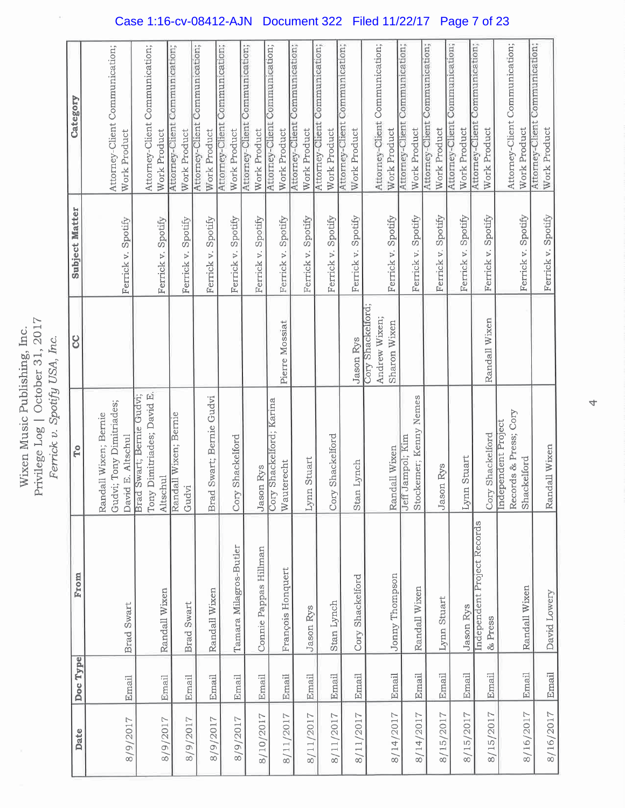Wixen Music Publishing, Inc.<br>Privilege Log | October 31, 2017<br>Ferrick v. Spotify USA, Inc.

| Work Product                                      |                                |                                                                                   |                                |                                    |                                |              | Work Product                                                             |                                                     |                         | Work Product                                             |         | Work Product                                                                  |                          | Work Product                                                                            | Work Product                                                                            |                  | Work Product                                                       |                                                    |                                |                                    |                                |                                        |                                |                                       | Work Product                   |                                |                                             |                                         |                                                         | Attorney-Client Communication;<br>Work Product                                           |
|---------------------------------------------------|--------------------------------|-----------------------------------------------------------------------------------|--------------------------------|------------------------------------|--------------------------------|--------------|--------------------------------------------------------------------------|-----------------------------------------------------|-------------------------|----------------------------------------------------------|---------|-------------------------------------------------------------------------------|--------------------------|-----------------------------------------------------------------------------------------|-----------------------------------------------------------------------------------------|------------------|--------------------------------------------------------------------|----------------------------------------------------|--------------------------------|------------------------------------|--------------------------------|----------------------------------------|--------------------------------|---------------------------------------|--------------------------------|--------------------------------|---------------------------------------------|-----------------------------------------|---------------------------------------------------------|------------------------------------------------------------------------------------------|
|                                                   |                                |                                                                                   |                                |                                    | Ferrick v. Spotify             |              | Spotify<br>Ferrick v.                                                    | Ferrick v.                                          |                         | Ferrick v.                                               |         | Spotify<br>Ferrick v.                                                         |                          | Ferrick v. Spotify                                                                      | Ferrick v. Spotify                                                                      |                  | Ferrick v. Spotify                                                 |                                                    |                                |                                    | Ferrick v.                     |                                        |                                |                                       | Spotify<br>Ferrick v.          | Ferrick v. Spotify             |                                             |                                         |                                                         | Ferrick v. Spotify                                                                       |
|                                                   |                                |                                                                                   |                                |                                    |                                |              |                                                                          |                                                     |                         |                                                          |         | Pierre Mossiat                                                                |                          |                                                                                         |                                                                                         |                  | Jason Rys                                                          | Andrew Wixen;                                      | Sharon Wixen                   |                                    |                                |                                        |                                |                                       |                                | Randall Wixen                  |                                             |                                         |                                                         |                                                                                          |
| Gudvi; Tony Dimitriades;<br>Randall Wixen; Bernie | Brad Swart; Bernie Gudvi;      | Tony Dimitriades; David E.                                                        | Altschul                       | Randall Wixen; Bernie              | Gudvi                          |              | Brad Swart; Bernie Gudvi                                                 | Cory Shackelford                                    |                         | <b>Jason</b> Rys                                         |         |                                                                               |                          |                                                                                         |                                                                                         |                  | Stan Lynch                                                         |                                                    | Randall Wixen                  | Ueff                               | Stockemer; Kenny Nemes         |                                        | Jason Rys                      |                                       | Lynn Stuart                    |                                |                                             |                                         |                                                         | Randall Wixen                                                                            |
|                                                   |                                |                                                                                   | Randall Wixen                  |                                    |                                |              | Randall Wixen                                                            |                                                     |                         |                                                          |         |                                                                               |                          |                                                                                         |                                                                                         |                  |                                                                    |                                                    | Jonny Thompson                 |                                    | Randall Wixen                  |                                        | Lynn Stuart                    |                                       | Jason Rys                      | & Press                        |                                             |                                         |                                                         | David Lowery                                                                             |
|                                                   |                                |                                                                                   | Email                          |                                    |                                |              |                                                                          | Email                                               |                         |                                                          |         |                                                                               |                          |                                                                                         |                                                                                         |                  | Email                                                              |                                                    | Email                          |                                    | Email                          |                                        | Email                          |                                       | Email                          | Email                          |                                             |                                         |                                                         | Email                                                                                    |
|                                                   |                                |                                                                                   | 8/9/2017                       |                                    |                                |              |                                                                          | 8/9/2017                                            |                         |                                                          |         |                                                                               |                          |                                                                                         |                                                                                         |                  |                                                                    |                                                    | 8/14/2017                      |                                    | 8/14/2017                      |                                        | 8/15/2017                      |                                       | 8/15/2017                      | 8/15/2017                      |                                             |                                         |                                                         | 8/16/2017                                                                                |
| Doc Type                                          | Attorney-Client Communication; | Ferrick v. Spotify<br>David E. Altschul<br><b>Brad Swart</b><br>Email<br>8/9/2017 | Attorney-Client Communication; | Work Product<br>Ferrick v. Spotify | Attorney-Client Communication; | Work Product | Attorney-Client Communication;<br><b>Brad Swart</b><br>Email<br>8/9/2017 | Attorney-Client Communication;<br>Email<br>8/9/2017 | Work Product<br>Spotify | Attorney-Client Communication;<br>Tamara Milagros-Butler | Spotify | Attorney-Client Communication;<br>Connie Pappas Hillman<br>Email<br>8/10/2017 | Cory Shackelford; Karina | Attorney-Client Communication;<br>Wauterecht<br>François Honquert<br>Email<br>8/11/2017 | Attorney-Client Communication;<br>Lynn Stuart<br><b>Jason</b> Rys<br>Email<br>8/11/2017 | Cory Shackelford | Attorney-Client Communication;<br>Stan Lynch<br>Email<br>8/11/2017 | Cory Shackelford;<br>Cory Shackelford<br>8/11/2017 | Attorney-Client Communication; | Work Product<br>Ferrick v. Spotify | Attorney-Client Communication; | Work Product<br>Spotify<br>Jampol; Kim | Attorney-Client Communication; | Work Product<br>Spotify<br>Ferrick v. | Attorney-Client Communication; | Attorney-Client Communication; | Work Product<br>Independent Project Records | Cory Shackelford<br>Independent Project | Attorney-Client Communication;<br>Records & Press; Cory | Work Product<br>Ferrick v. Spotify<br>Shackelford<br>Randall Wixen<br>Email<br>8/16/2017 |

## Case 1:16-cv-08412-AJN Document 322 Filed 11/22/17 Page 7 of 23

4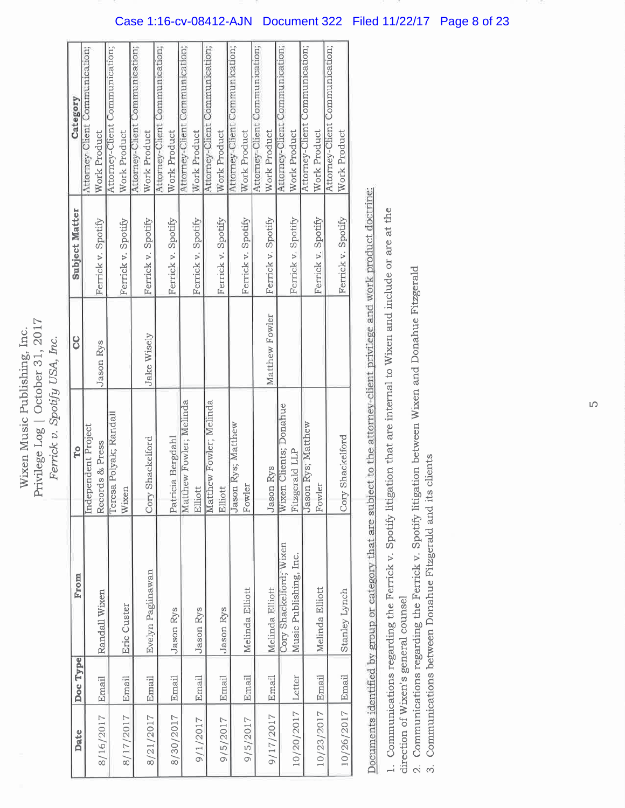Privilege Log | October 31, 2017 Wixen Music Publishing, Inc. Ferrick v. Spotify USA, Inc.

| Date              | Doc Type | From                    | To                         | ႘                  | <b>Subject Matter</b> | Category                       |
|-------------------|----------|-------------------------|----------------------------|--------------------|-----------------------|--------------------------------|
|                   |          |                         | Independent Project        |                    |                       | Attorney-Client Communication; |
| 8/16/2017         | Email    | Randall Wixen           | Records & Press            | <b>Jason Rys</b>   | Ferrick v. Spotify    | Work Product                   |
|                   |          |                         | Teresa Polyak; Randall     |                    |                       | Attorney-Client Communication; |
| 8/17/2017         | Email    | Eric Custer             | Wixen                      |                    | Ferrick v. Spotify    | Work Product                   |
|                   |          |                         |                            |                    |                       | Attorney-Client Communication; |
| 8/21/2017         | Email    | Evelyn Paglinawan       | Shackelford<br>Cory        | <b>Jake Wisely</b> | Ferrick v. Spotify    | Work Product                   |
|                   |          |                         |                            |                    |                       | Attorney-Client Communication; |
| 8/30/2017         | Email    | <b>Jason</b> Rys        | Patricia Bergdahl          |                    | Ferrick v. Spotify    | Work Product                   |
|                   |          |                         | Matthew Fowler; Melinda    |                    |                       | Attorney-Client Communication; |
| 9/1/2017          | Email    | Jason Rys               | Elliott                    |                    | Ferrick v. Spotify    | Work Product                   |
|                   |          |                         | Matthew Fowler; Melinda    |                    |                       | Attorney-Client Communication; |
| 9/5/2017          | Email    | <b>Jason</b> Rys        | Elliott                    |                    | Ferrick v. Spotify    | Work Product                   |
|                   |          |                         | Jason Rys; Matthew         |                    |                       | Attorney-Client Communication; |
| 9/5/2017          | Email    | Melinda Elliott         | Fowler                     |                    | Ferrick v. Spotify    | Work Product                   |
|                   |          |                         |                            |                    |                       | Attorney-Client Communication; |
| 9/17/2017         | Email    | Melinda Elliott         | Jason Rys                  | Matthew Fowler     | Ferrick v. Spotify    | Work Product                   |
|                   |          | Cory Shackelford; Wixen | Wixen Clients; Donahue     |                    |                       | Attorney-Client Communication; |
| 10/20/2017 Letter |          | Music Publishing, Inc.  | Fitzgerald LLP             |                    | Ferrick v. Spotify    | Work Product                   |
|                   |          |                         | Jason Rys; Matthew         |                    |                       | Attorney-Client Communication; |
| 10/23/2017        | Email    | Melinda Elliott         | Fowler                     |                    | Ferrick v. Spotify    | Work Product                   |
|                   |          |                         |                            |                    |                       | Attorney-Client Communication; |
| 10/26/2017 Email  |          | Stanley Lynch           | Shackelford<br><b>Cory</b> |                    | Ferrick v. Spotify    | Work Product                   |
|                   |          |                         |                            |                    |                       |                                |

Documents identified by group or category that are subject to the attorney-client privilege and work product doctrine:

1. Communications regarding the Ferrick v. Spotify litigation that are internal to Wixen and include or are at the direction of Wixen's general counsel

2. Communications regarding the Ferrick v. Spotify litigation between Wixen and Donahue Fitzgerald

3. Communications between Donahue Fitzgerald and its clients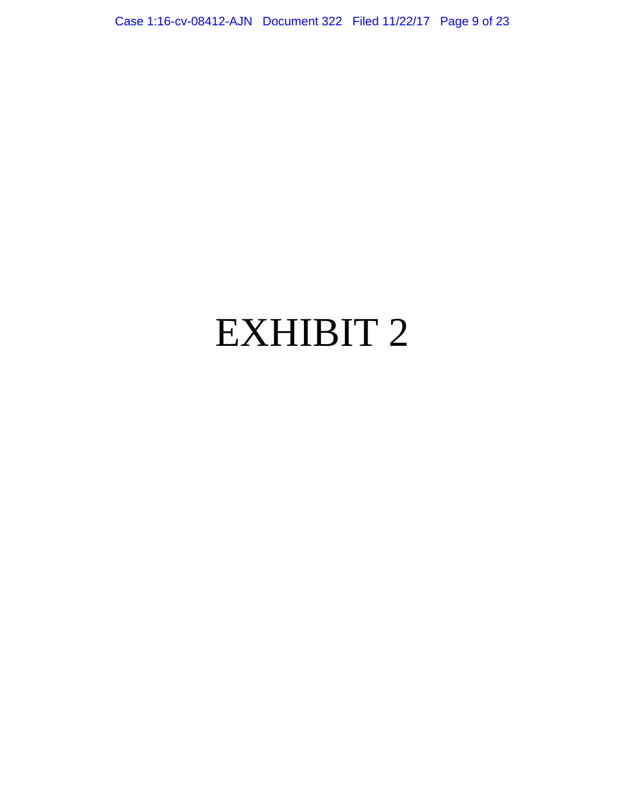Case 1:16-cv-08412-AJN Document 322 Filed 11/22/17 Page 9 of 23

## EXHIBIT 2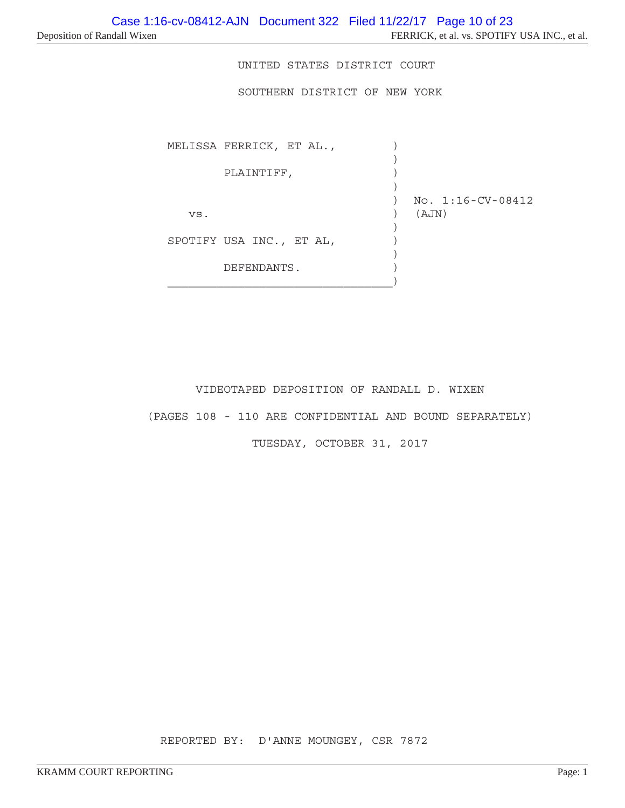UNITED STATES DISTRICT COURT

SOUTHERN DISTRICT OF NEW YORK

MELISSA FERRICK, ET AL.,  $\qquad$ ) ) PLAINTIFF, ) ) No. 1:16-CV-08412 vs. ) (AJN) ) SPOTIFY USA INC., ET AL,  $)$  ) DEFENDANTS.  $\big)$ 

VIDEOTAPED DEPOSITION OF RANDALL D. WIXEN

(PAGES 108 - 110 ARE CONFIDENTIAL AND BOUND SEPARATELY)

TUESDAY, OCTOBER 31, 2017

REPORTED BY: D'ANNE MOUNGEY, CSR 7872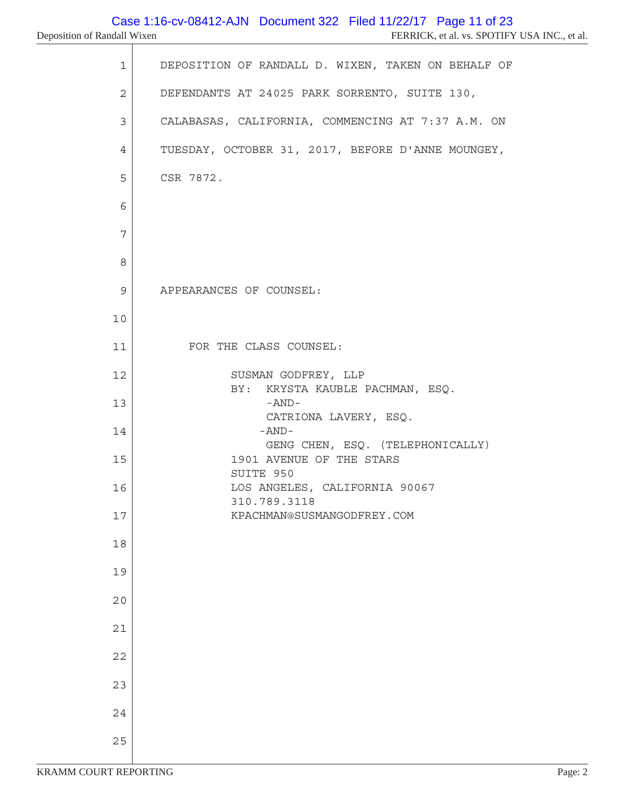| 1  | DEPOSITION OF RANDALL D. WIXEN, TAKEN ON BEHALF OF     |
|----|--------------------------------------------------------|
| 2  | DEFENDANTS AT 24025 PARK SORRENTO, SUITE 130,          |
| 3  | CALABASAS, CALIFORNIA, COMMENCING AT 7:37 A.M. ON      |
| 4  | TUESDAY, OCTOBER 31, 2017, BEFORE D'ANNE MOUNGEY,      |
| 5  | CSR 7872.                                              |
| 6  |                                                        |
| 7  |                                                        |
| 8  |                                                        |
| 9  | APPEARANCES OF COUNSEL:                                |
| 10 |                                                        |
| 11 | FOR THE CLASS COUNSEL:                                 |
| 12 | SUSMAN GODFREY, LLP<br>BY: KRYSTA KAUBLE PACHMAN, ESQ. |
| 13 | -AND-<br>CATRIONA LAVERY, ESQ.                         |
| 14 | $-AND-$<br>GENG CHEN, ESQ. (TELEPHONICALLY)            |
| 15 | 1901 AVENUE OF THE STARS<br>SUITE 950                  |
| 16 | LOS ANGELES, CALIFORNIA 90067<br>310.789.3118          |
| 17 | KPACHMAN@SUSMANGODFREY.COM                             |
| 18 |                                                        |
| 19 |                                                        |
| 20 |                                                        |
| 21 |                                                        |
| 22 |                                                        |
| 23 |                                                        |
| 24 |                                                        |
| 25 |                                                        |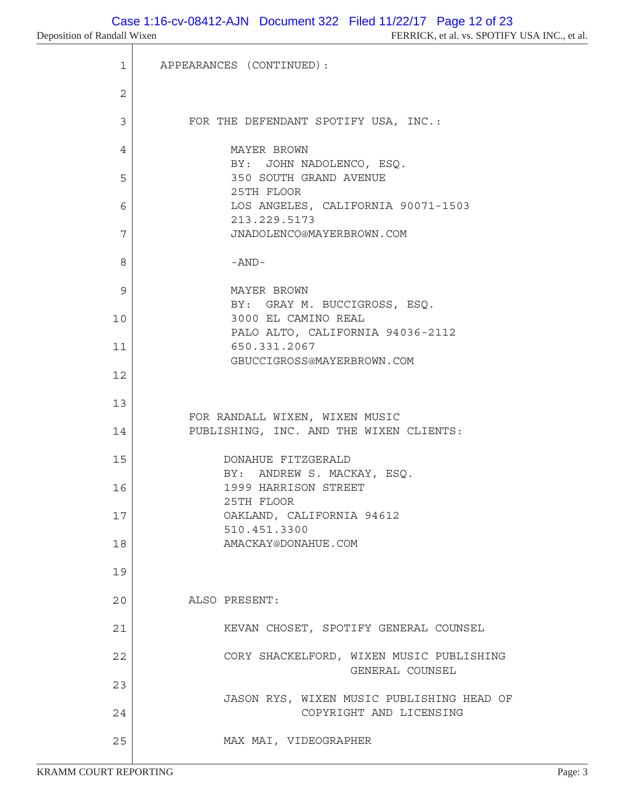```
 1 APPEARANCES (CONTINUED):
 2
3 | FOR THE DEFENDANT SPOTIFY USA, INC.:
4 MAYER BROWN
              BY: JOHN NADOLENCO, ESQ.
5 350 SOUTH GRAND AVENUE
              25TH FLOOR
 6 LOS ANGELES, CALIFORNIA 90071-1503
              213.229.5173
 7 JNADOLENCO@MAYERBROWN.COM
8 -AND-
 9 MAYER BROWN
              BY: GRAY M. BUCCIGROSS, ESQ.
10 3000 EL CAMINO REAL
              PALO ALTO, CALIFORNIA 94036-2112
11 650.331.2067
              GBUCCIGROSS@MAYERBROWN.COM
12
13
         FOR RANDALL WIXEN, WIXEN MUSIC
14 PUBLISHING, INC. AND THE WIXEN CLIENTS:
15 DONAHUE FITZGERALD
             BY: ANDREW S. MACKAY, ESQ.
16 1999 HARRISON STREET
             25TH FLOOR
17 OAKLAND, CALIFORNIA 94612
             510.451.3300
18 AMACKAY@DONAHUE.COM
19
20 ALSO PRESENT:
21 | KEVAN CHOSET, SPOTIFY GENERAL COUNSEL
22 CORY SHACKELFORD, WIXEN MUSIC PUBLISHING
                           GENERAL COUNSEL
23
             JASON RYS, WIXEN MUSIC PUBLISHING HEAD OF
24 COPYRIGHT AND LICENSING
25 MAX MAI, VIDEOGRAPHER
```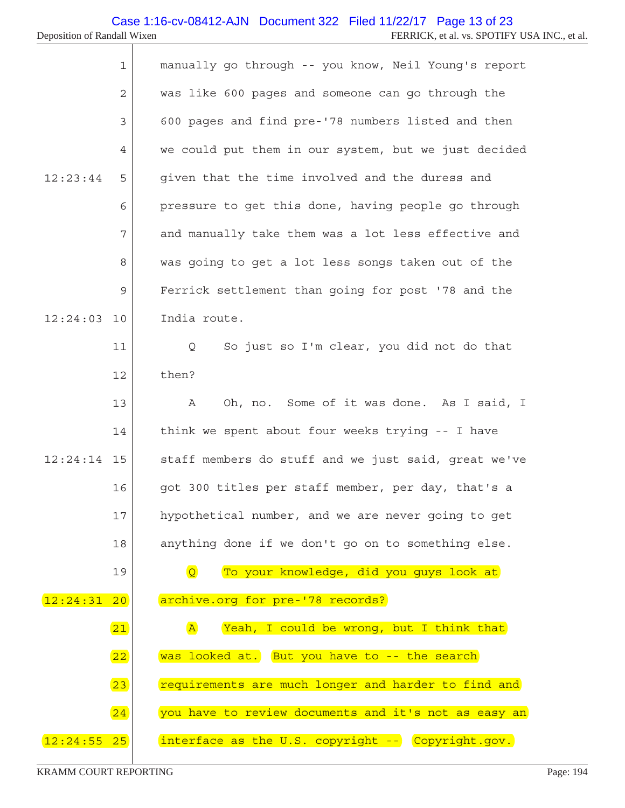|               | $\mathbf{1}$ | manually go through -- you know, Neil Young's report                |
|---------------|--------------|---------------------------------------------------------------------|
|               | 2            | was like 600 pages and someone can go through the                   |
|               | 3            | 600 pages and find pre-'78 numbers listed and then                  |
|               | 4            | we could put them in our system, but we just decided                |
| 12:23:44      | 5            | given that the time involved and the duress and                     |
|               | 6            | pressure to get this done, having people go through                 |
|               | 7            | and manually take them was a lot less effective and                 |
|               | 8            | was going to get a lot less songs taken out of the                  |
|               | 9            | Ferrick settlement than going for post '78 and the                  |
| 12:24:03      | 10           | India route.                                                        |
|               | 11           | So just so I'm clear, you did not do that<br>Q                      |
|               | 12           | then?                                                               |
|               | 13           | Oh, no. Some of it was done. As I said, I<br>Α                      |
|               | 14           | think we spent about four weeks trying -- I have                    |
| $12:24:14$ 15 |              | staff members do stuff and we just said, great we've                |
|               | 16           | got 300 titles per staff member, per day, that's a                  |
|               | 17           | hypothetical number, and we are never going to get                  |
|               | 18           | anything done if we don't go on to something else.                  |
|               | 19           | $\overline{Q}$<br>To your knowledge, did you guys look at           |
| 12:24:31      | 20           | archive.org for pre-'78 records?                                    |
|               | 21           | Yeah, I could be wrong, but I think that<br>$\overline{\mathbf{A}}$ |
|               | 22           | was looked at. But you have to -- the search                        |
|               | 23           | requirements are much longer and harder to find and                 |
|               | 24           | you have to review documents and it's not as easy an                |
| 12:24:55      | 25           | interface as the U.S. copyright -- Copyright.gov.                   |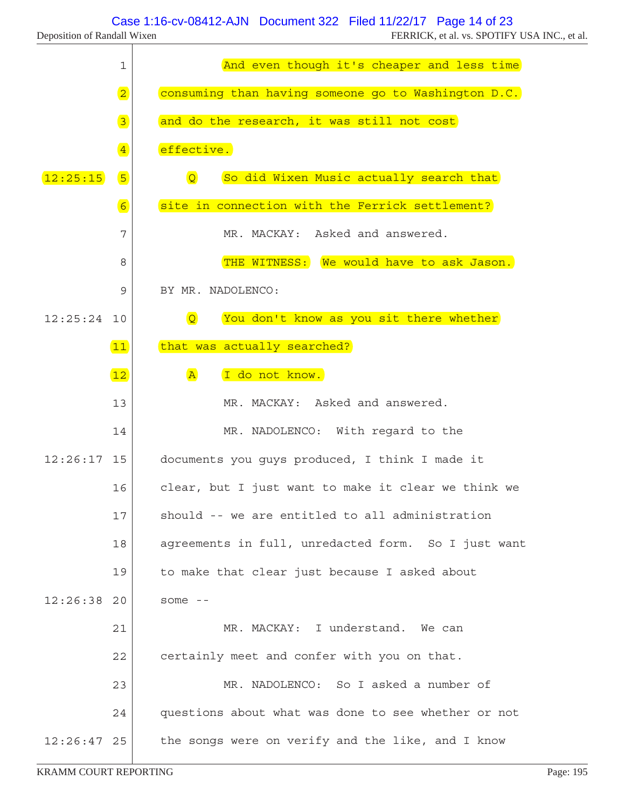٦

|               | 1                            | And even though it's cheaper and less time                |
|---------------|------------------------------|-----------------------------------------------------------|
|               | $\boxed{2}$                  | consuming than having someone go to Washington D.C.       |
|               | $\boxed{3}$                  | and do the research, it was still not cost                |
|               | $\left  \frac{4}{2} \right $ | effective.                                                |
| 12:25:15      | $\sqrt{5}$                   | So did Wixen Music actually search that<br>$\overline{Q}$ |
|               | 6                            | site in connection with the Ferrick settlement?           |
|               | 7                            | MR. MACKAY: Asked and answered.                           |
|               | 8                            | THE WITNESS: We would have to ask Jason.                  |
|               | 9                            | BY MR. NADOLENCO:                                         |
| $12:25:24$ 10 |                              | You don't know as you sit there whether<br>$\overline{Q}$ |
|               | 11                           | that was actually searched?                               |
|               | 12                           | $\overline{A}$<br>I do not know.                          |
|               | 13                           | MR. MACKAY: Asked and answered.                           |
|               | 14                           | MR. NADOLENCO: With regard to the                         |
| $12:26:17$ 15 |                              | documents you guys produced, I think I made it            |
|               | 16                           | clear, but I just want to make it clear we think we       |
|               | 17                           | should -- we are entitled to all administration           |
|               | 18                           | agreements in full, unredacted form. So I just want       |
|               | 19                           | to make that clear just because I asked about             |
| $12:26:38$ 20 |                              | some $--$                                                 |
|               | 21                           | MR. MACKAY: I understand. We can                          |
|               | 22                           | certainly meet and confer with you on that.               |
|               | 23                           | MR. NADOLENCO: So I asked a number of                     |
|               | 24                           | questions about what was done to see whether or not       |
| 12:26:47      | 25                           | the songs were on verify and the like, and I know         |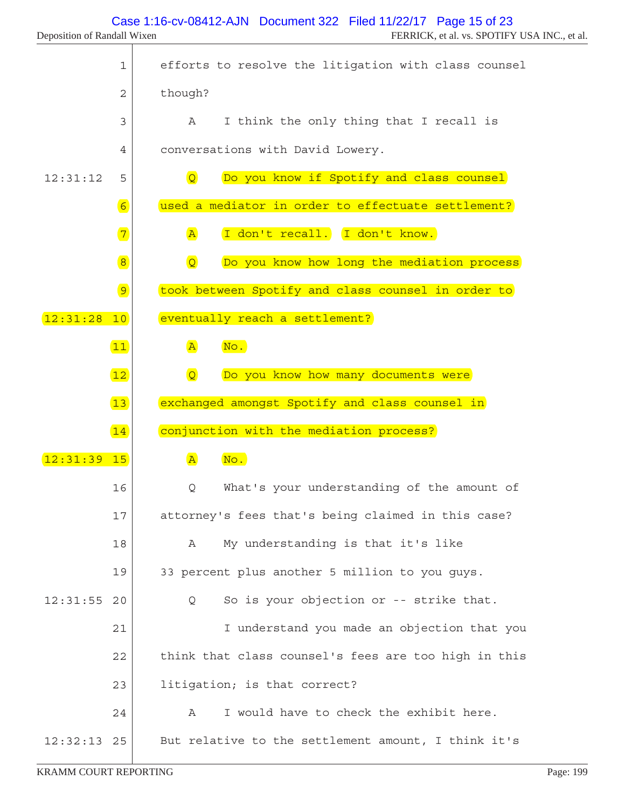|          | $\mathbf 1$    | efforts to resolve the litigation with class counsel         |
|----------|----------------|--------------------------------------------------------------|
|          | $\overline{2}$ | though?                                                      |
|          | 3              | I think the only thing that I recall is<br>A                 |
|          | 4              | conversations with David Lowery.                             |
| 12:31:12 | 5              | $\overline{Q}$<br>Do you know if Spotify and class counsel   |
|          | 6              | used a mediator in order to effectuate settlement?           |
|          | $\boxed{7}$    | I don't recall. I don't know.<br>$\overline{A}$              |
|          | $\bullet$      | $\overline{Q}$<br>Do you know how long the mediation process |
|          | $\boxed{9}$    | took between Spotify and class counsel in order to           |
| 12:31:28 | 10             | eventually reach a settlement?                               |
|          | 11             | $\overline{A}$<br>No.                                        |
|          | 12             | $\overline{Q}$<br>Do you know how many documents were        |
|          | 13             | exchanged amongst Spotify and class counsel in               |
|          | 14             | conjunction with the mediation process?                      |
| 12:31:39 | 15             | No.<br>$\mathbf{A}$                                          |
|          | 16             | What's your understanding of the amount of<br>Q              |
|          | 17             | attorney's fees that's being claimed in this case?           |
|          | 18             | My understanding is that it's like<br>Α                      |
|          | 19             | 33 percent plus another 5 million to you guys.               |
| 12:31:55 | 20             | So is your objection or -- strike that.<br>Q                 |
|          | 21             | I understand you made an objection that you                  |
|          | 22             | think that class counsel's fees are too high in this         |
|          | 23             | litigation; is that correct?                                 |
|          | 24             | I would have to check the exhibit here.<br>Α                 |
| 12:32:13 | 25             | But relative to the settlement amount, I think it's          |

T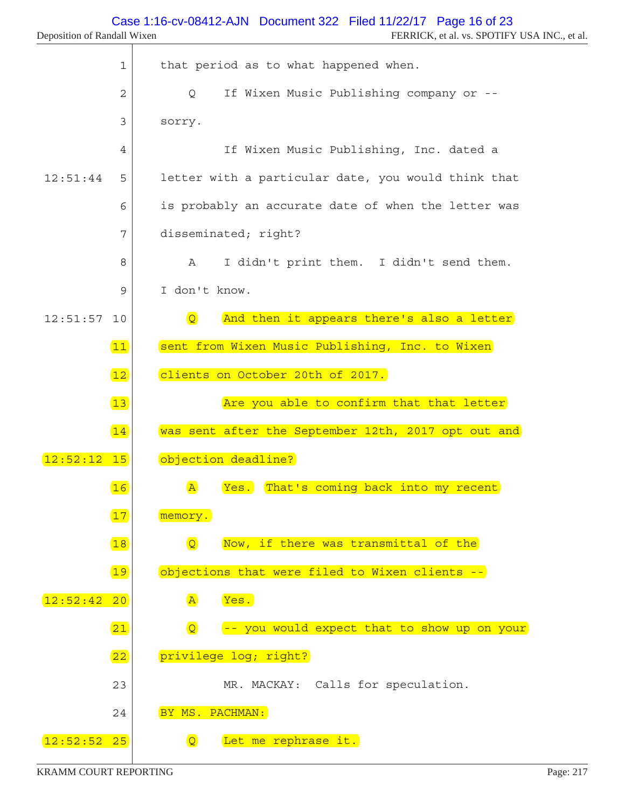| $\mathbf 1$    | that period as to what happened when.                         |
|----------------|---------------------------------------------------------------|
| $\overline{2}$ | If Wixen Music Publishing company or --<br>Q                  |
| 3              | sorry.                                                        |
| $\overline{4}$ | If Wixen Music Publishing, Inc. dated a                       |
| 12:51:44<br>5  | letter with a particular date, you would think that           |
| 6              | is probably an accurate date of when the letter was           |
| 7              | disseminated; right?                                          |
| 8              | I didn't print them. I didn't send them.<br>$\mathbb A$       |
| 9              | I don't know.                                                 |
| 12:51:57<br>10 | $\overline{Q}$<br>And then it appears there's also a letter   |
| 11)            | sent from Wixen Music Publishing, Inc. to Wixen               |
| 12             | clients on October 20th of 2017.                              |
| 13             | Are you able to confirm that that letter                      |
| 14             | was sent after the September 12th, 2017 opt out and           |
| $12:52:12$ 15  | objection deadline?                                           |
| 16             | That's coming back into my recent<br>$\mathbb{A}$<br>Yes.     |
| 17             | memory.                                                       |
| 18             | $\overline{Q}$<br>Now, if there was transmittal of the        |
| 19             | objections that were filed to Wixen clients --                |
| 12:52:42<br>20 | $\mathbf{A}$<br>Yes.                                          |
| 21             | $\overline{Q}$<br>-- you would expect that to show up on your |
| 22             | privilege log; right?                                         |
| 23             | MR. MACKAY: Calls for speculation.                            |
| 24             | BY MS. PACHMAN:                                               |
| 12:52:52 25    | Let me rephrase it.<br>$\overline{Q}$                         |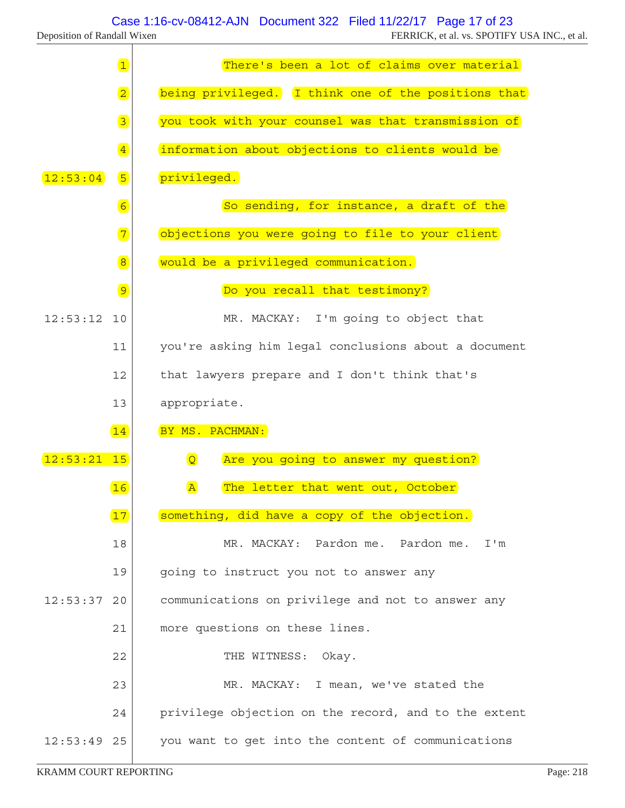Τ

|               | $\boxed{1}$     | There's been a lot of claims over material             |
|---------------|-----------------|--------------------------------------------------------|
|               | $\overline{2}$  | being privileged. I think one of the positions that    |
|               | $\overline{3}$  | you took with your counsel was that transmission of    |
|               | $\overline{4}$  | information about objections to clients would be       |
| 12:53:04      | 5               | privileged.                                            |
|               | $6\overline{6}$ | So sending, for instance, a draft of the               |
|               | $\boxed{7}$     | objections you were going to file to your client       |
|               | $\overline{8}$  | would be a privileged communication.                   |
|               | 9               | Do you recall that testimony?                          |
| 12:53:12      | 10              | MR. MACKAY: I'm going to object that                   |
|               | 11              | you're asking him legal conclusions about a document   |
|               | 12              | that lawyers prepare and I don't think that's          |
|               | 13              | appropriate.                                           |
|               | 14              | BY MS. PACHMAN:                                        |
| 12:53:21      | 15              | $\overline{Q}$<br>Are you going to answer my question? |
|               | 16              | The letter that went out, October<br>$\mathbf{A}$      |
|               | 17              | something, did have a copy of the objection.           |
|               | 18              | MR. MACKAY: Pardon me. Pardon me.<br>I'm               |
|               | 19              | going to instruct you not to answer any                |
| 12:53:37      | 20              | communications on privilege and not to answer any      |
|               | 21              | more questions on these lines.                         |
|               | 22              | THE WITNESS: Okay.                                     |
|               | 23              | MR. MACKAY: I mean, we've stated the                   |
|               | 24              | privilege objection on the record, and to the extent   |
| $12:53:49$ 25 |                 | you want to get into the content of communications     |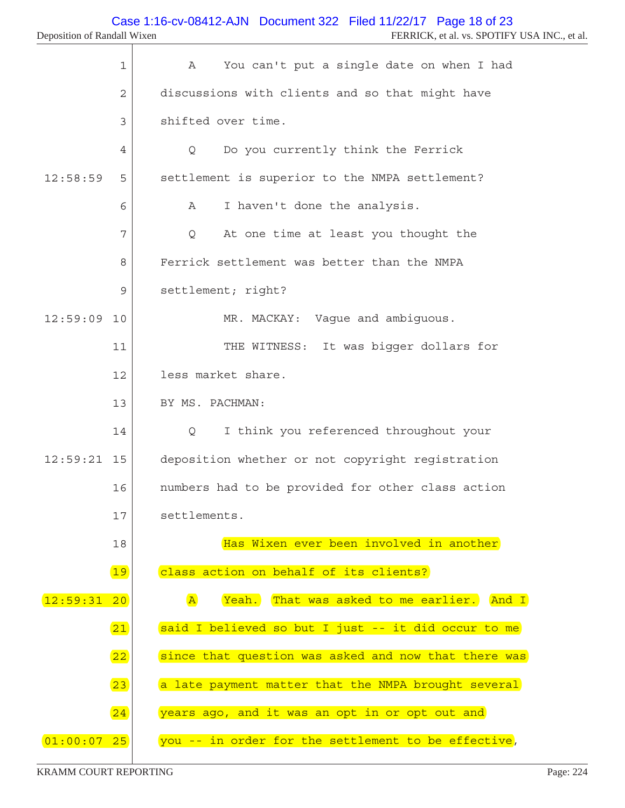|               | 1            | You can't put a single date on when I had<br>Α              |
|---------------|--------------|-------------------------------------------------------------|
|               | $\mathbf{2}$ | discussions with clients and so that might have             |
|               | 3            | shifted over time.                                          |
|               | 4            | Do you currently think the Ferrick<br>Q                     |
| 12:58:59      | 5            | settlement is superior to the NMPA settlement?              |
|               | 6            | I haven't done the analysis.<br>Α                           |
|               | 7            | At one time at least you thought the<br>Q                   |
|               | 8            | Ferrick settlement was better than the NMPA                 |
|               | 9            | settlement; right?                                          |
| 12:59:09      | 10           | MR. MACKAY: Vague and ambiguous.                            |
|               | 11           | It was bigger dollars for<br>THE WITNESS:                   |
|               | 12           | less market share.                                          |
|               | 13           | BY MS. PACHMAN:                                             |
|               | 14           | I think you referenced throughout your<br>Q                 |
| $12:59:21$ 15 |              | deposition whether or not copyright registration            |
|               | 16           | numbers had to be provided for other class action           |
|               | 17           | settlements.                                                |
|               | 18           | Has Wixen ever been involved in another                     |
|               | 19           | class action on behalf of its clients?                      |
| 12:59:31      | 20           | $\overline{A}$<br>Yeah. That was asked to me earlier. And I |
|               | 21           | said I believed so but I just -- it did occur to me         |
|               | 22           | since that question was asked and now that there was        |
|               | 23           | a late payment matter that the NMPA brought several         |
|               | 24           | years ago, and it was an opt in or opt out and              |
| [01:00:07 25] |              | you -- in order for the settlement to be effective,         |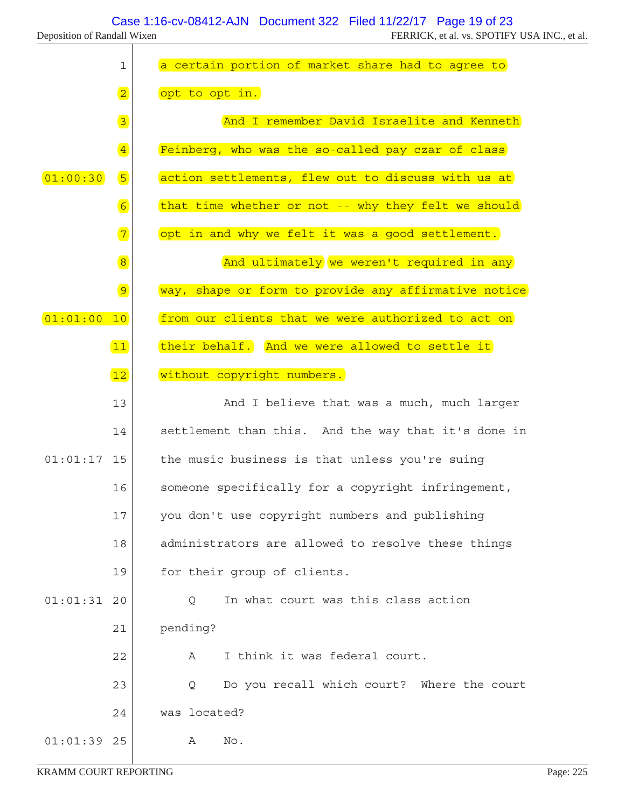| Deposition of Randall Wixen |  |  |
|-----------------------------|--|--|
|-----------------------------|--|--|

|                             |                | Case 1:16-cv-08412-AJN  Document 322  Filed 11/22/17  Page 19 of 23 |
|-----------------------------|----------------|---------------------------------------------------------------------|
| Deposition of Randall Wixen |                | FERRICK, et al. vs. SPOTIFY USA INC., et al.                        |
|                             | 1              | a certain portion of market share had to agree to                   |
|                             | $\overline{2}$ | opt to opt in.                                                      |
|                             | $\boxed{3}$    | And I remember David Israelite and Kenneth                          |
|                             | $\overline{4}$ | Feinberg, who was the so-called pay czar of class                   |
| [01:00:30]                  | 5              | action settlements, flew out to discuss with us at                  |
|                             | 6              | that time whether or not -- why they felt we should                 |
|                             | $\boxed{7}$    | opt in and why we felt it was a good settlement.                    |
|                             | $\overline{8}$ | And ultimately we weren't required in any                           |
|                             | $\boxed{9}$    | way, shape or form to provide any affirmative notice                |
| 01:01:00                    | 10             | from our clients that we were authorized to act on                  |
|                             | $\boxed{11}$   | their behalf. And we were allowed to settle it                      |
|                             | 12             | without copyright numbers.                                          |

|               | 13 | And I believe that was a much, much larger          |
|---------------|----|-----------------------------------------------------|
|               | 14 | settlement than this. And the way that it's done in |
| $01:01:17$ 15 |    | the music business is that unless you're suing      |
|               | 16 | someone specifically for a copyright infringement,  |
|               | 17 | you don't use copyright numbers and publishing      |
|               | 18 | administrators are allowed to resolve these things  |
|               | 19 | for their group of clients.                         |
| 01:01:31      | 20 | In what court was this class action<br>Q            |
|               | 21 | pending?                                            |
|               | 22 | I think it was federal court.<br>A                  |
|               | 23 | Do you recall which court? Where the court<br>Q     |
|               | 24 | was located?                                        |
| $01:01:39$ 25 |    | No.<br>Α                                            |
|               |    |                                                     |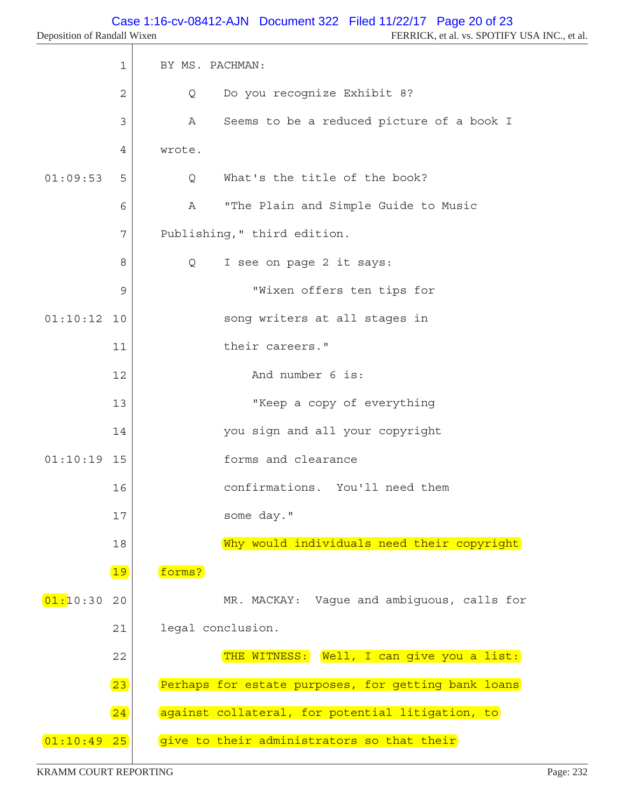|               | $\mathbf 1$  | BY MS. PACHMAN:                                     |
|---------------|--------------|-----------------------------------------------------|
|               | $\mathbf{2}$ | Do you recognize Exhibit 8?<br>Q                    |
|               | 3            | Seems to be a reduced picture of a book I<br>А      |
|               | 4            | wrote.                                              |
| 01:09:53      | 5            | What's the title of the book?<br>Q                  |
|               | 6            | "The Plain and Simple Guide to Music<br>Α           |
|               | 7            | Publishing, " third edition.                        |
|               | 8            | I see on page 2 it says:<br>Q                       |
|               | 9            | "Wixen offers ten tips for                          |
| 01:10:12      | 10           | song writers at all stages in                       |
|               | 11           | their careers."                                     |
|               | 12           | And number 6 is:                                    |
|               | 13           | "Keep a copy of everything                          |
|               | 14           | you sign and all your copyright                     |
| $01:10:19$ 15 |              | forms and clearance                                 |
|               | 16           | confirmations. You'll need them                     |
|               | 17           | some day."                                          |
|               | 18           | Why would individuals need their copyright          |
|               | 19           | forms?                                              |
| 01:10:30      | 20           | MR. MACKAY: Vaque and ambiquous, calls for          |
|               | 21           | legal conclusion.                                   |
|               | 22           | THE WITNESS: Well, I can give you a list:           |
|               | 23           | Perhaps for estate purposes, for getting bank loans |
|               | 24           | against collateral, for potential litigation, to    |
| [01:10:49 25] |              | give to their administrators so that their          |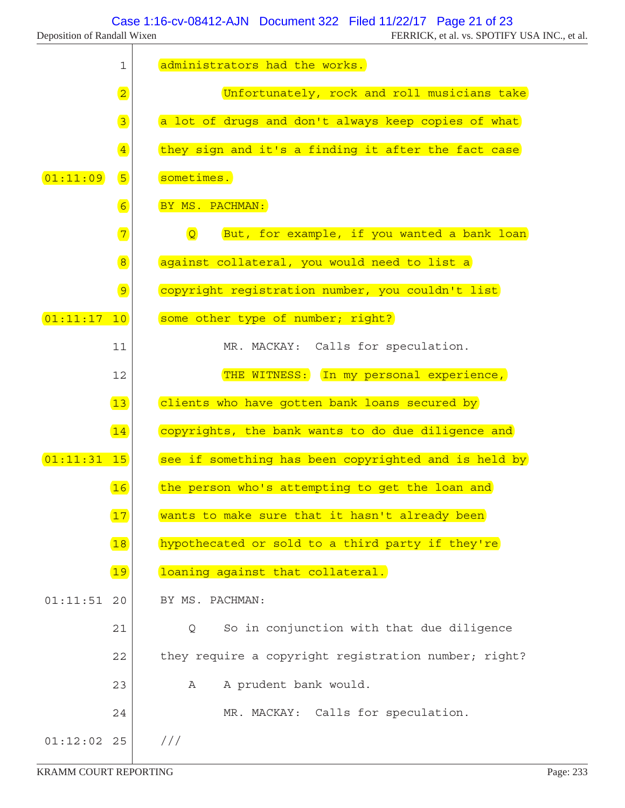T

|               | $\mathbf 1$                        | administrators had the works.                                 |
|---------------|------------------------------------|---------------------------------------------------------------|
|               | $\overline{2}$                     | Unfortunately, rock and roll musicians take                   |
|               | $\boxed{3}$                        | a lot of drugs and don't always keep copies of what           |
|               | $\overline{4}$                     | they sign and it's a finding it after the fact case           |
| 01:11:09      | 5                                  | sometimes.                                                    |
|               | $6\overline{6}$                    | BY MS. PACHMAN:                                               |
|               | $\begin{array}{c} \n7 \end{array}$ | $\overline{Q}$<br>But, for example, if you wanted a bank loan |
|               | $\boxed{8}$                        | against collateral, you would need to list a                  |
|               | $\boxed{9}$                        | copyright registration number, you couldn't list              |
| 01:11:17      | 10                                 | some other type of number; right?                             |
|               | 11                                 | MR. MACKAY: Calls for speculation.                            |
|               | 12                                 | THE WITNESS: In my personal experience,                       |
|               | 13                                 | clients who have gotten bank loans secured by                 |
|               | 14                                 | copyrights, the bank wants to do due diligence and            |
| $01:11:31$ 15 |                                    | see if something has been copyrighted and is held by          |
|               | 16                                 | the person who's attempting to get the loan and               |
|               | 17                                 | wants to make sure that it hasn't already been                |
|               | 18                                 | hypothecated or sold to a third party if they're              |
|               | 19                                 | loaning against that collateral.                              |
| 01:11:51      | 20                                 | BY MS. PACHMAN:                                               |
|               | 21                                 | So in conjunction with that due diligence<br>Q                |
|               | 22                                 | they require a copyright registration number; right?          |
|               | 23                                 | A prudent bank would.<br>А                                    |
|               | 24                                 | MR. MACKAY: Calls for speculation.                            |
| $01:12:02$ 25 |                                    | //                                                            |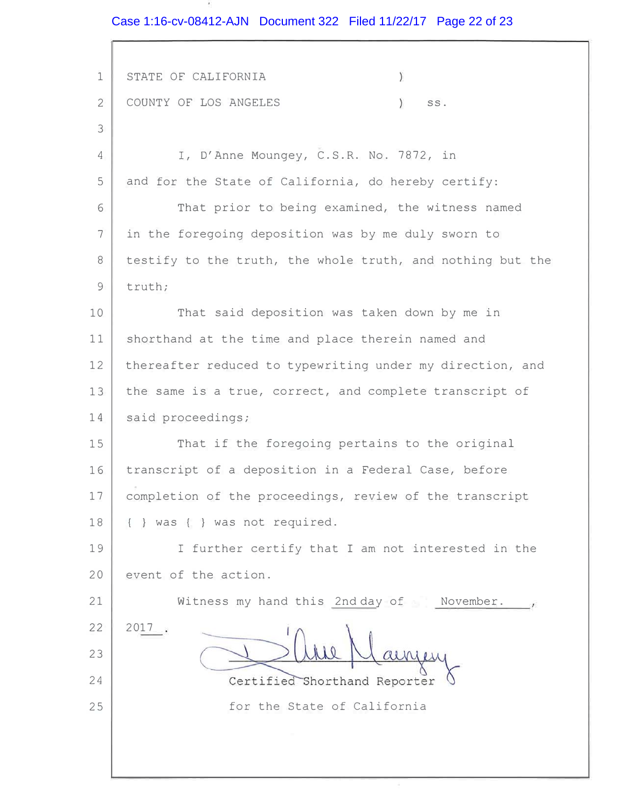Case 1:16-cv-08412-AJN Document 322 Filed 11/22/17 Page 22 of 23

 $\sim$ 

| $\mathbf 1$    | ÿ.<br>STATE OF CALIFORNIA                                  |
|----------------|------------------------------------------------------------|
| $\overline{2}$ | COUNTY OF LOS ANGELES<br>).<br>SS.                         |
| 3              |                                                            |
| 4              | I, D'Anne Moungey, C.S.R. No. 7872, in                     |
| 5              | and for the State of California, do hereby certify:        |
| 6              | That prior to being examined, the witness named            |
| $\overline{7}$ | in the foregoing deposition was by me duly sworn to        |
| 8              | testify to the truth, the whole truth, and nothing but the |
| 9              | truth;                                                     |
| 10             | That said deposition was taken down by me in               |
| 11             | shorthand at the time and place therein named and          |
| 12             | thereafter reduced to typewriting under my direction, and  |
| 13             | the same is a true, correct, and complete transcript of    |
| 14             | said proceedings;                                          |
| 15             | That if the foregoing pertains to the original             |
| 16             | transcript of a deposition in a Federal Case, before       |
| 17             | completion of the proceedings, review of the transcript    |
| 18             | { } was { } was not required.                              |
| 19             | I further certify that I am not interested in the          |
| 20             | event of the action.                                       |
| 21             | Witness my hand this 2nd day of November.                  |
| 22             | 2017                                                       |
| 23             |                                                            |
| 24             | Certified Shorthand Reporter                               |
| 25             | for the State of California                                |
|                |                                                            |
|                |                                                            |